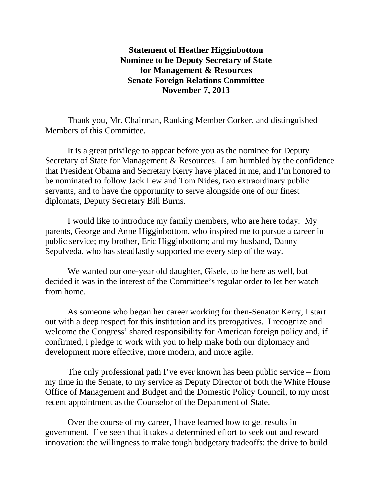**Statement of Heather Higginbottom Nominee to be Deputy Secretary of State for Management & Resources Senate Foreign Relations Committee November 7, 2013**

Thank you, Mr. Chairman, Ranking Member Corker, and distinguished Members of this Committee.

It is a great privilege to appear before you as the nominee for Deputy Secretary of State for Management & Resources. I am humbled by the confidence that President Obama and Secretary Kerry have placed in me, and I'm honored to be nominated to follow Jack Lew and Tom Nides, two extraordinary public servants, and to have the opportunity to serve alongside one of our finest diplomats, Deputy Secretary Bill Burns.

I would like to introduce my family members, who are here today: My parents, George and Anne Higginbottom, who inspired me to pursue a career in public service; my brother, Eric Higginbottom; and my husband, Danny Sepulveda, who has steadfastly supported me every step of the way.

We wanted our one-year old daughter, Gisele, to be here as well, but decided it was in the interest of the Committee's regular order to let her watch from home.

As someone who began her career working for then-Senator Kerry, I start out with a deep respect for this institution and its prerogatives. I recognize and welcome the Congress' shared responsibility for American foreign policy and, if confirmed, I pledge to work with you to help make both our diplomacy and development more effective, more modern, and more agile.

The only professional path I've ever known has been public service – from my time in the Senate, to my service as Deputy Director of both the White House Office of Management and Budget and the Domestic Policy Council, to my most recent appointment as the Counselor of the Department of State.

Over the course of my career, I have learned how to get results in government. I've seen that it takes a determined effort to seek out and reward innovation; the willingness to make tough budgetary tradeoffs; the drive to build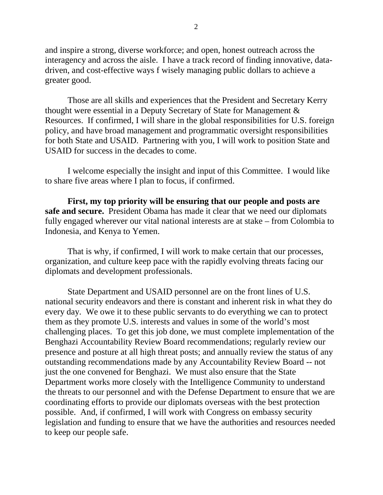and inspire a strong, diverse workforce; and open, honest outreach across the interagency and across the aisle. I have a track record of finding innovative, datadriven, and cost-effective ways f wisely managing public dollars to achieve a greater good.

Those are all skills and experiences that the President and Secretary Kerry thought were essential in a Deputy Secretary of State for Management & Resources. If confirmed, I will share in the global responsibilities for U.S. foreign policy, and have broad management and programmatic oversight responsibilities for both State and USAID. Partnering with you, I will work to position State and USAID for success in the decades to come.

I welcome especially the insight and input of this Committee. I would like to share five areas where I plan to focus, if confirmed.

**First, my top priority will be ensuring that our people and posts are safe and secure.** President Obama has made it clear that we need our diplomats fully engaged wherever our vital national interests are at stake – from Colombia to Indonesia, and Kenya to Yemen.

That is why, if confirmed, I will work to make certain that our processes, organization, and culture keep pace with the rapidly evolving threats facing our diplomats and development professionals.

State Department and USAID personnel are on the front lines of U.S. national security endeavors and there is constant and inherent risk in what they do every day. We owe it to these public servants to do everything we can to protect them as they promote U.S. interests and values in some of the world's most challenging places. To get this job done, we must complete implementation of the Benghazi Accountability Review Board recommendations; regularly review our presence and posture at all high threat posts; and annually review the status of any outstanding recommendations made by any Accountability Review Board -- not just the one convened for Benghazi. We must also ensure that the State Department works more closely with the Intelligence Community to understand the threats to our personnel and with the Defense Department to ensure that we are coordinating efforts to provide our diplomats overseas with the best protection possible. And, if confirmed, I will work with Congress on embassy security legislation and funding to ensure that we have the authorities and resources needed to keep our people safe.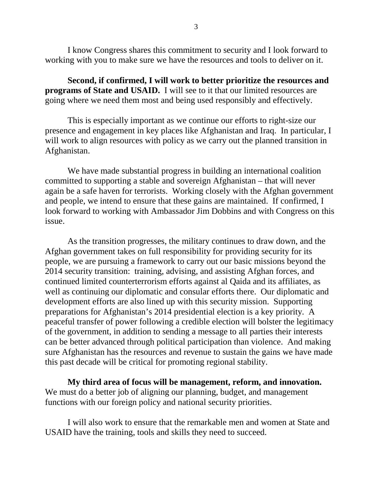I know Congress shares this commitment to security and I look forward to working with you to make sure we have the resources and tools to deliver on it.

**Second, if confirmed, I will work to better prioritize the resources and programs of State and USAID.** I will see to it that our limited resources are going where we need them most and being used responsibly and effectively.

This is especially important as we continue our efforts to right-size our presence and engagement in key places like Afghanistan and Iraq. In particular, I will work to align resources with policy as we carry out the planned transition in Afghanistan.

We have made substantial progress in building an international coalition committed to supporting a stable and sovereign Afghanistan – that will never again be a safe haven for terrorists. Working closely with the Afghan government and people, we intend to ensure that these gains are maintained. If confirmed, I look forward to working with Ambassador Jim Dobbins and with Congress on this issue.

As the transition progresses, the military continues to draw down, and the Afghan government takes on full responsibility for providing security for its people, we are pursuing a framework to carry out our basic missions beyond the 2014 security transition: training, advising, and assisting Afghan forces, and continued limited counterterrorism efforts against al Qaida and its affiliates, as well as continuing our diplomatic and consular efforts there. Our diplomatic and development efforts are also lined up with this security mission. Supporting preparations for Afghanistan's 2014 presidential election is a key priority. A peaceful transfer of power following a credible election will bolster the legitimacy of the government, in addition to sending a message to all parties their interests can be better advanced through political participation than violence. And making sure Afghanistan has the resources and revenue to sustain the gains we have made this past decade will be critical for promoting regional stability.

**My third area of focus will be management, reform, and innovation.** We must do a better job of aligning our planning, budget, and management functions with our foreign policy and national security priorities.

I will also work to ensure that the remarkable men and women at State and USAID have the training, tools and skills they need to succeed.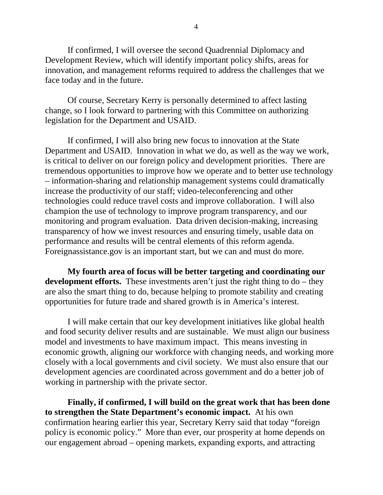If confirmed, I will oversee the second Quadrennial Diplomacy and Development Review, which will identify important policy shifts, areas for innovation, and management reforms required to address the challenges that we face today and in the future.

Of course, Secretary Kerry is personally determined to affect lasting change, so I look forward to partnering with this Committee on authorizing legislation for the Department and USAID.

If confirmed, I will also bring new focus to innovation at the State Department and USAID. Innovation in what we do, as well as the way we work, is critical to deliver on our foreign policy and development priorities. There are tremendous opportunities to improve how we operate and to better use technology – information-sharing and relationship management systems could dramatically increase the productivity of our staff; video-teleconferencing and other technologies could reduce travel costs and improve collaboration. I will also champion the use of technology to improve program transparency, and our monitoring and program evaluation. Data driven decision-making, increasing transparency of how we invest resources and ensuring timely, usable data on performance and results will be central elements of this reform agenda. Foreignassistance.gov is an important start, but we can and must do more.

**My fourth area of focus will be better targeting and coordinating our development efforts.** These investments aren't just the right thing to do – they are also the smart thing to do, because helping to promote stability and creating opportunities for future trade and shared growth is in America's interest.

I will make certain that our key development initiatives like global health and food security deliver results and are sustainable. We must align our business model and investments to have maximum impact. This means investing in economic growth, aligning our workforce with changing needs, and working more closely with a local governments and civil society. We must also ensure that our development agencies are coordinated across government and do a better job of working in partnership with the private sector.

**Finally, if confirmed, I will build on the great work that has been done to strengthen the State Department's economic impact.** At his own confirmation hearing earlier this year, Secretary Kerry said that today "foreign policy is economic policy." More than ever, our prosperity at home depends on our engagement abroad – opening markets, expanding exports, and attracting